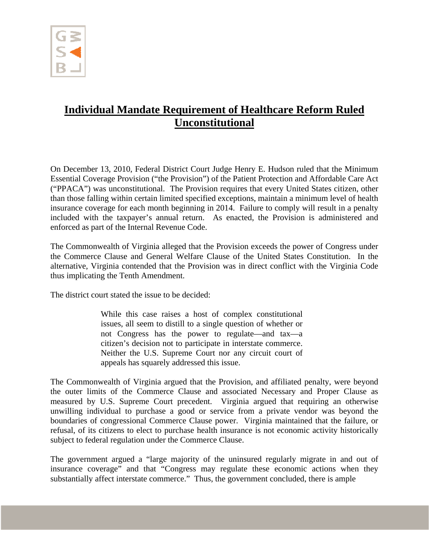

## **Individual Mandate Requirement of Healthcare Reform Ruled Unconstitutional**

On December 13, 2010, Federal District Court Judge Henry E. Hudson ruled that the Minimum Essential Coverage Provision ("the Provision") of the Patient Protection and Affordable Care Act ("PPACA") was unconstitutional. The Provision requires that every United States citizen, other than those falling within certain limited specified exceptions, maintain a minimum level of health insurance coverage for each month beginning in 2014. Failure to comply will result in a penalty included with the taxpayer's annual return. As enacted, the Provision is administered and enforced as part of the Internal Revenue Code.

The Commonwealth of Virginia alleged that the Provision exceeds the power of Congress under the Commerce Clause and General Welfare Clause of the United States Constitution. In the alternative, Virginia contended that the Provision was in direct conflict with the Virginia Code thus implicating the Tenth Amendment.

The district court stated the issue to be decided:

While this case raises a host of complex constitutional issues, all seem to distill to a single question of whether or not Congress has the power to regulate—and tax—a citizen's decision not to participate in interstate commerce. Neither the U.S. Supreme Court nor any circuit court of appeals has squarely addressed this issue.

The Commonwealth of Virginia argued that the Provision, and affiliated penalty, were beyond the outer limits of the Commerce Clause and associated Necessary and Proper Clause as measured by U.S. Supreme Court precedent. Virginia argued that requiring an otherwise unwilling individual to purchase a good or service from a private vendor was beyond the boundaries of congressional Commerce Clause power. Virginia maintained that the failure, or refusal, of its citizens to elect to purchase health insurance is not economic activity historically subject to federal regulation under the Commerce Clause.

The government argued a "large majority of the uninsured regularly migrate in and out of insurance coverage" and that "Congress may regulate these economic actions when they substantially affect interstate commerce." Thus, the government concluded, there is ample